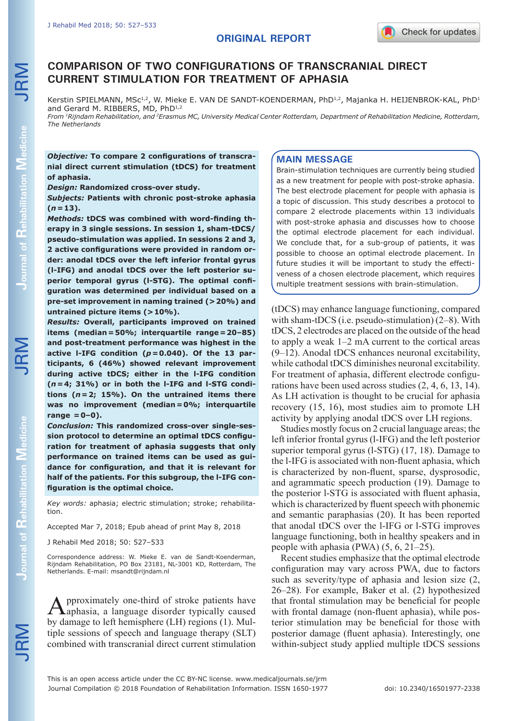# **COMPARISON OF TWO CONFIGURATIONS OF TRANSCRANIAL DIRECT CURRENT STIMULATION FOR TREATMENT OF APHASIA**

Kerstin SPIELMANN, MSc<sup>1,2</sup>, W. Mieke E. VAN DE SANDT-KOENDERMAN, PhD<sup>1,2</sup>, Majanka H. HEIJENBROK-KAL, PhD<sup>1</sup> and Gerard M. RIBBERS, MD, PhD<sup>1,2</sup>

*From 1Rijndam Rehabilitation, and 2Erasmus MC, University Medical Center Rotterdam, Department of Rehabilitation Medicine, Rotterdam, The Netherlands*

*Objective:* **To compare 2 configurations of transcranial direct current stimulation (tDCS) for treatment of aphasia.** 

*Design:* **Randomized cross-over study.**

*Subjects:* **Patients with chronic post-stroke aphasia**   $(n=13)$ .

*Methods:* **tDCS was combined with word-finding therapy in 3 single sessions. In session 1, sham-tDCS/ pseudo-stimulation was applied. In sessions 2 and 3, 2 active configurations were provided in random order: anodal tDCS over the left inferior frontal gyrus (l-IFG) and anodal tDCS over the left posterior superior temporal gyrus (l-STG). The optimal configuration was determined per individual based on a pre-set improvement in naming trained (>20%) and untrained picture items (>10%).**

*Results:* **Overall, participants improved on trained items (median***=***50%; interquartile range***=***20–85) and post-treatment performance was highest in the active l-IFG condition (***p=***0.040). Of the 13 participants, 6 (46%) showed relevant improvement during active tDCS; either in the l-IFG condition (***n***=4; 31%) or in both the l-IFG and l-STG conditions (***n***=2; 15%). On the untrained items there was no improvement (median=0%; interquartile range =0–0).** 

*Conclusion:* **This randomized cross-over single-session protocol to determine an optimal tDCS configuration for treatment of aphasia suggests that only performance on trained items can be used as guidance for configuration, and that it is relevant for half of the patients. For this subgroup, the l-IFG configuration is the optimal choice.**

*Key words:* aphasia; electric stimulation; stroke; rehabilitation.

Accepted Mar 7, 2018; Epub ahead of print May 8, 2018

J Rehabil Med 2018; 50: 527–533

Correspondence address: W. Mieke E. van de Sandt-Koenderman, Rijndam Rehabilitation, PO Box 23181, NL-3001 KD, Rotterdam, The Netherlands. E-mail: msandt@rijndam.nl

Approximately one-third of stroke patients have aphasia, a language disorder typically caused by damage to left hemisphere (LH) regions (1). Multiple sessions of speech and language therapy (SLT) combined with transcranial direct current stimulation

### **MAIN MESSAGE**

Brain-stimulation techniques are currently being studied as a new treatment for people with post-stroke aphasia. The best electrode placement for people with aphasia is a topic of discussion. This study describes a protocol to compare 2 electrode placements within 13 individuals with post-stroke aphasia and discusses how to choose the optimal electrode placement for each individual. We conclude that, for a sub-group of patients, it was possible to choose an optimal electrode placement. In future studies it will be important to study the effectiveness of a chosen electrode placement, which requires multiple treatment sessions with brain-stimulation.

(tDCS) may enhance language functioning, compared with sham-tDCS (i.e. pseudo-stimulation) (2–8). With tDCS, 2 electrodes are placed on the outside of the head to apply a weak 1–2 mA current to the cortical areas (9–12). Anodal tDCS enhances neuronal excitability, while cathodal tDCS diminishes neuronal excitability. For treatment of aphasia, different electrode configurations have been used across studies (2, 4, 6, 13, 14). As LH activation is thought to be crucial for aphasia recovery (15, 16), most studies aim to promote LH activity by applying anodal tDCS over LH regions.

Studies mostly focus on 2 crucial language areas; the left inferior frontal gyrus (l-IFG) and the left posterior superior temporal gyrus (l-STG) (17, 18). Damage to the l-IFG is associated with non-fluent aphasia, which is characterized by non-fluent, sparse, dysprosodic, and agrammatic speech production (19). Damage to the posterior l-STG is associated with fluent aphasia, which is characterized by fluent speech with phonemic and semantic paraphasias (20). It has been reported that anodal tDCS over the l-IFG or l-STG improves language functioning, both in healthy speakers and in people with aphasia (PWA) (5, 6, 21–25).

Recent studies emphasize that the optimal electrode configuration may vary across PWA, due to factors such as severity/type of aphasia and lesion size (2, 26–28). For example, Baker et al. (2) hypothesized that frontal stimulation may be beneficial for people with frontal damage (non-fluent aphasia), while posterior stimulation may be beneficial for those with posterior damage (fluent aphasia). Interestingly, one within-subject study applied multiple tDCS sessions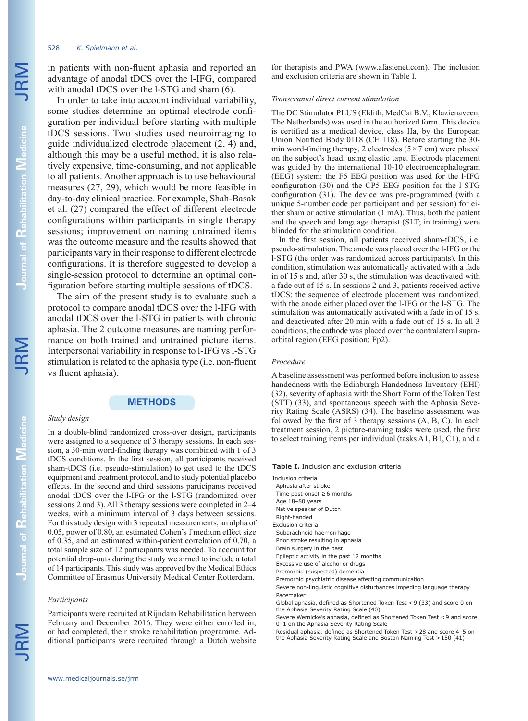#### 528 *K. Spielmann et al.*

in patients with non-fluent aphasia and reported an advantage of anodal tDCS over the l-IFG, compared with anodal tDCS over the l-STG and sham  $(6)$ .

In order to take into account individual variability, some studies determine an optimal electrode configuration per individual before starting with multiple tDCS sessions. Two studies used neuroimaging to guide individualized electrode placement (2, 4) and, although this may be a useful method, it is also relatively expensive, time-consuming, and not applicable to all patients. Another approach is to use behavioural measures (27, 29), which would be more feasible in day-to-day clinical practice. For example, Shah-Basak et al. (27) compared the effect of different electrode configurations within participants in single therapy sessions; improvement on naming untrained items was the outcome measure and the results showed that participants vary in their response to different electrode configurations. It is therefore suggested to develop a single-session protocol to determine an optimal configuration before starting multiple sessions of tDCS.

The aim of the present study is to evaluate such a protocol to compare anodal tDCS over the l-IFG with anodal tDCS over the l-STG in patients with chronic aphasia. The 2 outcome measures are naming performance on both trained and untrained picture items. Interpersonal variability in response to l-IFG vs l-STG stimulation is related to the aphasia type (i.e. non-fluent vs fluent aphasia).

## **METHODS**

### *Study design*

In a double-blind randomized cross-over design, participants were assigned to a sequence of 3 therapy sessions. In each session, a 30-min word-finding therapy was combined with 1 of 3 tDCS conditions. In the first session, all participants received sham-tDCS (i.e. pseudo-stimulation) to get used to the tDCS equipment and treatment protocol, and to study potential placebo effects. In the second and third sessions participants received anodal tDCS over the l-IFG or the l-STG (randomized over sessions 2 and 3). All 3 therapy sessions were completed in 2–4 weeks, with a minimum interval of 3 days between sessions. For this study design with 3 repeated measurements, an alpha of 0.05, power of 0.80, an estimated Cohen's f medium effect size of 0.35, and an estimated within-patient correlation of 0.70, a total sample size of 12 participants was needed. To account for potential drop-outs during the study we aimed to include a total of 14 participants. This study was approved by the Medical Ethics Committee of Erasmus University Medical Center Rotterdam.

#### *Participants*

Participants were recruited at Rijndam Rehabilitation between February and December 2016. They were either enrolled in, or had completed, their stroke rehabilitation programme. Additional participants were recruited through a Dutch website for therapists and PWA (www.afasienet.com). The inclusion and exclusion criteria are shown in Table I.

#### *Transcranial direct current stimulation*

The DC Stimulator PLUS (Eldith, MedCat B.V., Klazienaveen, The Netherlands) was used in the authorized form. This device is certified as a medical device, class IIa, by the European Union Notified Body 0118 (CE 118). Before starting the 30 min word-finding therapy, 2 electrodes ( $5 \times 7$  cm) were placed on the subject's head, using elastic tape. Electrode placement was guided by the international 10-10 electroencephalogram (EEG) system: the F5 EEG position was used for the l-IFG configuration (30) and the CP5 EEG position for the l-STG configuration (31). The device was pre-programmed (with a unique 5-number code per participant and per session) for either sham or active stimulation (1 mA). Thus, both the patient and the speech and language therapist (SLT; in training) were blinded for the stimulation condition.

In the first session, all patients received sham-tDCS, i.e. pseudo-stimulation. The anode was placed over the l-IFG or the l-STG (the order was randomized across participants). In this condition, stimulation was automatically activated with a fade in of 15 s and, after 30 s, the stimulation was deactivated with a fade out of 15 s. In sessions 2 and 3, patients received active tDCS; the sequence of electrode placement was randomized, with the anode either placed over the l-IFG or the l-STG. The stimulation was automatically activated with a fade in of 15 s, and deactivated after 20 min with a fade out of 15 s. In all 3 conditions, the cathode was placed over the contralateral supraorbital region (EEG position: Fp2).

### *Procedure*

A baseline assessment was performed before inclusion to assess handedness with the Edinburgh Handedness Inventory (EHI) (32), severity of aphasia with the Short Form of the Token Test (STT) (33), and spontaneous speech with the Aphasia Severity Rating Scale (ASRS) (34). The baseline assessment was followed by the first of 3 therapy sessions (A, B, C). In each treatment session, 2 picture-naming tasks were used, the first to select training items per individual (tasks A1, B1, C1), and a

**Table I.** Inclusion and exclusion criteria

| Inclusion criteria                                                                                                  |
|---------------------------------------------------------------------------------------------------------------------|
| Aphasia after stroke                                                                                                |
| Time post-onset $\geq 6$ months                                                                                     |
| Age 18-80 years                                                                                                     |
| Native speaker of Dutch                                                                                             |
| Right-handed                                                                                                        |
| Exclusion criteria                                                                                                  |
| Subarachnoid haemorrhage                                                                                            |
| Prior stroke resulting in aphasia                                                                                   |
| Brain surgery in the past                                                                                           |
| Epileptic activity in the past 12 months                                                                            |
| Excessive use of alcohol or drugs                                                                                   |
| Premorbid (suspected) dementia                                                                                      |
| Premorbid psychiatric disease affecting communication                                                               |
| Severe non-linguistic cognitive disturbances impeding language therapy                                              |
| Pacemaker                                                                                                           |
| Global aphasia, defined as Shortened Token Test <9 (33) and score 0 on<br>the Aphasia Severity Rating Scale (40)    |
| Severe Wernicke's aphasia, defined as Shortened Token Test <9 and score<br>0-1 on the Aphasia Severity Rating Scale |
| Baatdood askaata idaAsad aa Chaskasad Taloo Taakin 30 as diaassa 1 Filasii                                          |

dual aphasia, defined as Shortened Token Test >28 and score the Aphasia Severity Rating Scale and Boston Naming Test >150 (41)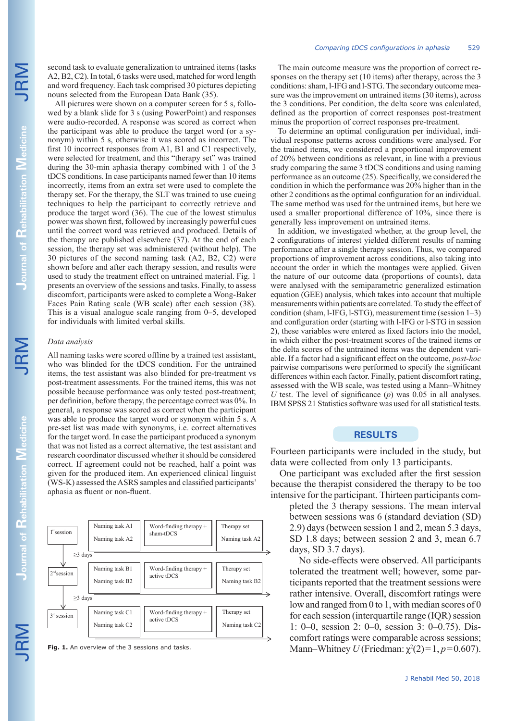JRM

second task to evaluate generalization to untrained items (tasks A2, B2, C2). In total, 6 tasks were used, matched for word length and word frequency. Each task comprised 30 pictures depicting nouns selected from the European Data Bank (35).

All pictures were shown on a computer screen for 5 s, followed by a blank slide for 3 s (using PowerPoint) and responses were audio-recorded. A response was scored as correct when the participant was able to produce the target word (or a synonym) within 5 s, otherwise it was scored as incorrect. The first 10 incorrect responses from A1, B1 and C1 respectively, were selected for treatment, and this "therapy set" was trained during the 30-min aphasia therapy combined with 1 of the 3 tDCS conditions. In case participants named fewer than 10 items incorrectly, items from an extra set were used to complete the therapy set. For the therapy, the SLT was trained to use cueing techniques to help the participant to correctly retrieve and produce the target word (36). The cue of the lowest stimulus power was shown first, followed by increasingly powerful cues until the correct word was retrieved and produced. Details of the therapy are published elsewhere (37). At the end of each session, the therapy set was administered (without help). The 30 pictures of the second naming task (A2, B2, C2) were shown before and after each therapy session, and results were used to study the treatment effect on untrained material. Fig. 1 presents an overview of the sessions and tasks. Finally, to assess discomfort, participants were asked to complete a Wong-Baker Faces Pain Rating scale (WB scale) after each session (38). This is a visual analogue scale ranging from 0–5, developed for individuals with limited verbal skills.

### *Data analysis*

All naming tasks were scored offline by a trained test assistant, who was blinded for the tDCS condition. For the untrained items, the test assistant was also blinded for pre-treatment vs post-treatment assessments. For the trained items, this was not possible because performance was only tested post-treatment; per definition, before therapy, the percentage correct was 0%. In general, a response was scored as correct when the participant was able to produce the target word or synonym within 5 s. A pre-set list was made with synonyms, i.e. correct alternatives for the target word. In case the participant produced a synonym that was not listed as a correct alternative, the test assistant and research coordinator discussed whether it should be considered correct. If agreement could not be reached, half a point was given for the produced item. An experienced clinical linguist (WS-K) assessed the ASRS samples and classified participants' aphasia as fluent or non-fluent.

The main outcome measure was the proportion of correct responses on the therapy set (10 items) after therapy, across the 3 conditions: sham, l-IFG and l-STG. The secondary outcome measure was the improvement on untrained items (30 items), across the 3 conditions. Per condition, the delta score was calculated, defined as the proportion of correct responses post-treatment minus the proportion of correct responses pre-treatment.

To determine an optimal configuration per individual, individual response patterns across conditions were analysed. For the trained items, we considered a proportional improvement of 20% between conditions as relevant, in line with a previous study comparing the same 3 tDCS conditions and using naming performance as an outcome (25). Specifically, we considered the condition in which the performance was 20% higher than in the other 2 conditions as the optimal configuration for an individual. The same method was used for the untrained items, but here we used a smaller proportional difference of 10%, since there is generally less improvement on untrained items.

In addition, we investigated whether, at the group level, the 2 configurations of interest yielded different results of naming performance after a single therapy session. Thus, we compared proportions of improvement across conditions, also taking into account the order in which the montages were applied. Given the nature of our outcome data (proportions of counts), data were analysed with the semiparametric generalized estimation equation (GEE) analysis, which takes into account that multiple measurements within patients are correlated. To study the effect of condition (sham, l-IFG, l-STG), measurement time (session 1–3) and configuration order (starting with l-IFG or l-STG in session 2), these variables were entered as fixed factors into the model, in which either the post-treatment scores of the trained items or the delta scores of the untrained items was the dependent variable. If a factor had a significant effect on the outcome, *post-hoc* pairwise comparisons were performed to specify the significant differences within each factor. Finally, patient discomfort rating, assessed with the WB scale, was tested using a Mann–Whitney *U* test. The level of significance (*p*) was 0.05 in all analyses. IBM SPSS 21 Statistics software was used for all statistical tests.

## **RESULTS**

Fourteen participants were included in the study, but data were collected from only 13 participants.

One participant was excluded after the first session because the therapist considered the therapy to be too intensive for the participant. Thirteen participants com-

pleted the 3 therapy sessions. The mean interval between sessions was 6 (standard deviation (SD) 2.9) days (between session 1 and 2, mean 5.3 days, SD 1.8 days; between session 2 and 3, mean 6.7 days, SD 3.7 days).

No side-effects were observed. All participants tolerated the treatment well; however, some participants reported that the treatment sessions were rather intensive. Overall, discomfort ratings were low and ranged from 0 to 1, with median scores of 0 for each session (interquartile range (IQR) session 1: 0–0, session 2: 0–0, session 3: 0–0.75). Discomfort ratings were comparable across sessions; Mann–Whitney *U* (Friedman:  $\chi^2(2)=1$ ,  $p=0.607$ ).

**Fig. 1.** An overview of the 3 sessions and tasks.

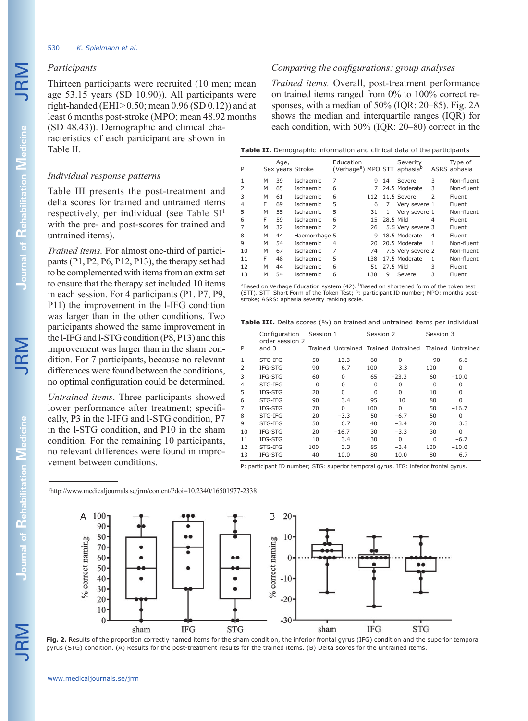## *Participants*

Thirteen participants were recruited (10 men; mean age 53.15 years (SD 10.90)). All participants were right-handed (EHI $> 0.50$ ; mean 0.96 (SD 0.12)) and at least 6 months post-stroke (MPO; mean 48.92 months (SD 48.43)). Demographic and clinical cha-

racteristics of each participant are shown in Table II.

### *Individual response patterns*

Table III presents the post-treatment and delta scores for trained and untrained items respectively, per individual (see Table  $SI<sup>1</sup>$ with the pre- and post-scores for trained and untrained items).

*Trained items.* For almost one-third of participants (P1, P2, P6, P12, P13), the therapy set had to be complemented with items from an extra set to ensure that the therapy set included 10 items in each session. For 4 participants (P1, P7, P9, P11) the improvement in the l-IFG condition was larger than in the other conditions. Two participants showed the same improvement in the l-IFG and l-STG condition (P8, P13) and this improvement was larger than in the sham condition. For 7 participants, because no relevant differences were found between the conditions, no optimal configuration could be determined.

*Untrained items*. Three participants showed lower performance after treatment; specifically, P3 in the l-IFG and l-STG condition, P7 in the l-STG condition, and P10 in the sham condition. For the remaining 10 participants, no relevant differences were found in improvement between conditions.

1 http://www.medicaljournals.se/jrm/content/?doi=10.2340/16501977-2338

## *Comparing the configurations: group analyses*

*Trained items.* Overall, post-treatment performance on trained items ranged from 0% to 100% correct responses, with a median of 50% (IQR: 20–85). Fig. 2A shows the median and interquartile ranges (IQR) for each condition, with 50% (IQR: 20–80) correct in the

| Education<br>Severity<br>Age,<br>(Verhage <sup>a</sup> ) MPO STT aphasia <sup>b</sup><br>P<br>ASRS aphasia<br>Sex years Stroke | Type of<br>Non-fluent |
|--------------------------------------------------------------------------------------------------------------------------------|-----------------------|
|                                                                                                                                |                       |
| 7<br>3<br>1<br>39<br><b>Ischaemic</b><br>М<br>q<br>Severe<br>14                                                                |                       |
| $\overline{2}$<br>65<br>3<br><b>Ischaemic</b><br>24.5 Moderate<br>M<br>6                                                       | Non-fluent            |
| 3<br>6<br>61<br>$\mathcal{P}$<br>M<br><b>Ischaemic</b><br>11.5 Severe<br>112                                                   | Fluent                |
| F<br>5<br>69<br>4<br>6<br><b>Ischaemic</b><br>Very severe 1<br>7                                                               | Fluent                |
| 5<br>5<br>55<br>M<br><b>Ischaemic</b><br>Very severe 1<br>31<br>1                                                              | Non-fluent            |
| F<br>6<br>6<br>59<br><b>Ischaemic</b><br>28.5 Mild<br>15<br>4                                                                  | Fluent                |
| $\mathcal{P}$<br>7<br>32<br>Ischaemic<br>5.5 Very severe 3<br>M<br>26                                                          | Fluent                |
| 18.5 Moderate<br>8<br>м<br>44<br>Haemorrhage 5<br>9<br>$\overline{4}$                                                          | Fluent                |
| Ischaemic<br>9<br>20.5 Moderate<br>M<br>54<br>1<br>4<br>20                                                                     | Non-fluent            |
| 7<br>67<br>10<br>M<br>Ischaemic<br>74<br>7.5 Very severe 2                                                                     | Non-fluent            |
| F<br>5<br>17.5 Moderate<br>11<br>48<br>Ischaemic<br>138<br>1                                                                   | Non-fluent            |
| 6<br>3<br>12<br>M<br>44<br><b>Ischaemic</b><br>27.5 Mild<br>51                                                                 | Fluent                |
| 13<br>54<br>6<br>3<br>М<br>Ischaemic<br>138<br>9<br>Severe                                                                     | Fluent                |

<sup>a</sup>Based on Verhage Education system (42). <sup>b</sup>Based on shortened form of the token test (STT). STT: Short Form of the Token Test; P: participant ID number; MPO: months poststroke; ASRS: aphasia severity ranking scale.

Table III. Delta scores (%) on trained and untrained items per individual

|    | Configuration<br>order session 2<br>and $3$ | Session 1 |          | Session 2 |                                                       | Session 3 |          |
|----|---------------------------------------------|-----------|----------|-----------|-------------------------------------------------------|-----------|----------|
| P  |                                             |           |          |           | Trained Untrained Trained Untrained Trained Untrained |           |          |
| 1  | STG-IFG                                     | 50        | 13.3     | 60        | $\Omega$                                              | 90        | $-6.6$   |
| 2  | IFG-STG                                     | 90        | 6.7      | 100       | 3.3                                                   | 100       | 0        |
| 3  | IFG-STG                                     | 60        | 0        | 65        | $-23.3$                                               | 60        | $-10.0$  |
| 4  | STG-IFG                                     | $\Omega$  | $\Omega$ | $\Omega$  | $\Omega$                                              | $\Omega$  | $\Omega$ |
| 5  | IFG-STG                                     | 20        | $\Omega$ | O         | $\Omega$                                              | 10        | U        |
| 6  | STG-IFG                                     | 90        | 3.4      | 95        | 10                                                    | 80        | U        |
| 7  | IFG-STG                                     | 70        | U        | 100       | $\Omega$                                              | 50        | $-16.7$  |
| 8  | STG-IFG                                     | 20        | $-3.3$   | 50        | $-6.7$                                                | 50        | 0        |
| 9  | STG-IFG                                     | 50        | 6.7      | 40        | $-3.4$                                                | 70        | 3.3      |
| 10 | IFG-STG                                     | 20        | $-16.7$  | 30        | $-3.3$                                                | 30        | 0        |
| 11 | IFG-STG                                     | 10        | 3.4      | 30        | O                                                     | $\Omega$  | $-6.7$   |
| 12 | STG-IFG                                     | 100       | 3.3      | 85        | $-3.4$                                                | 100       | $-10.0$  |
| 13 | IFG-STG                                     | 40        | 10.0     | 80        | 10.0                                                  | 80        | 6.7      |

P: participant ID number; STG: superior temporal gyrus; IFG: inferior frontal gyrus.



**Fig. 2.** Results of the proportion correctly named items for the sham condition, the inferior frontal gyrus (IFG) condition and the superior temporal gyrus (STG) condition. (A) Results for the post-treatment results for the trained items. (B) Delta scores for the untrained items.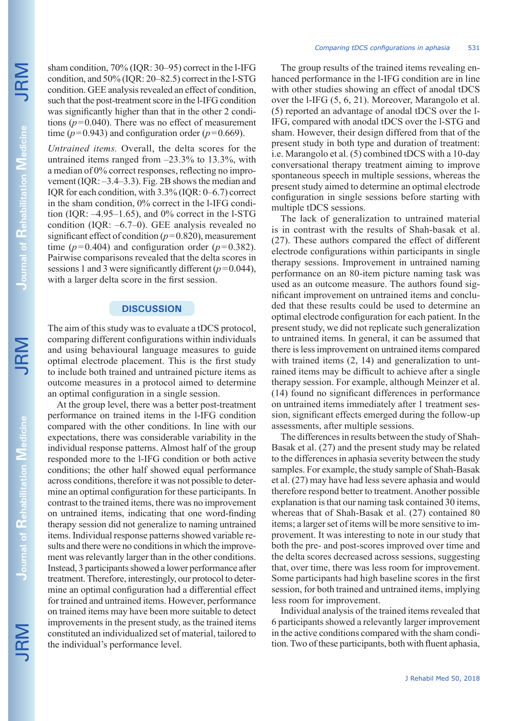sham condition, 70% (IQR: 30–95) correct in the l-IFG condition, and 50% (IQR: 20–82.5) correct in the l-STG condition. GEE analysis revealed an effect of condition, such that the post-treatment score in the l-IFG condition was significantly higher than that in the other 2 conditions  $(p=0.040)$ . There was no effect of measurement time ( $p=0.943$ ) and configuration order ( $p=0.669$ ).

*Untrained items.* Overall, the delta scores for the untrained items ranged from –23.3% to 13.3%, with a median of 0% correct responses, reflecting no improvement (IQR: –3.4–3.3). Fig. 2B shows the median and IQR for each condition, with 3.3% (IQR: 0–6.7) correct in the sham condition, 0% correct in the l-IFG condition (IQR:  $-4.95-1.65$ ), and 0% correct in the l-STG condition (IQR: –6.7–0). GEE analysis revealed no significant effect of condition  $(p=0.820)$ , measurement time ( $p=0.404$ ) and configuration order ( $p=0.382$ ). Pairwise comparisons revealed that the delta scores in sessions 1 and 3 were significantly different (*p*=0.044), with a larger delta score in the first session.

## **DISCUSSION**

The aim of this study was to evaluate a tDCS protocol, comparing different configurations within individuals and using behavioural language measures to guide optimal electrode placement. This is the first study to include both trained and untrained picture items as outcome measures in a protocol aimed to determine an optimal configuration in a single session.

At the group level, there was a better post-treatment performance on trained items in the l-IFG condition compared with the other conditions. In line with our expectations, there was considerable variability in the individual response patterns. Almost half of the group responded more to the l-IFG condition or both active conditions; the other half showed equal performance across conditions, therefore it was not possible to determine an optimal configuration for these participants. In contrast to the trained items, there was no improvement on untrained items, indicating that one word-finding therapy session did not generalize to naming untrained items. Individual response patterns showed variable results and there were no conditions in which the improvement was relevantly larger than in the other conditions. Instead, 3 participants showed a lower performance after treatment. Therefore, interestingly, our protocol to determine an optimal configuration had a differential effect for trained and untrained items. However, performance on trained items may have been more suitable to detect improvements in the present study, as the trained items constituted an individualized set of material, tailored to the individual's performance level.

The group results of the trained items revealing enhanced performance in the l-IFG condition are in line with other studies showing an effect of anodal tDCS over the l-IFG (5, 6, 21). Moreover, Marangolo et al. (5) reported an advantage of anodal tDCS over the l-IFG, compared with anodal tDCS over the l-STG and sham. However, their design differed from that of the present study in both type and duration of treatment: i.e. Marangolo et al. (5) combined tDCS with a 10-day conversational therapy treatment aiming to improve spontaneous speech in multiple sessions, whereas the present study aimed to determine an optimal electrode configuration in single sessions before starting with multiple tDCS sessions.

The lack of generalization to untrained material is in contrast with the results of Shah-basak et al. (27). These authors compared the effect of different electrode configurations within participants in single therapy sessions. Improvement in untrained naming performance on an 80-item picture naming task was used as an outcome measure. The authors found significant improvement on untrained items and concluded that these results could be used to determine an optimal electrode configuration for each patient. In the present study, we did not replicate such generalization to untrained items. In general, it can be assumed that there is less improvement on untrained items compared with trained items  $(2, 14)$  and generalization to untrained items may be difficult to achieve after a single therapy session. For example, although Meinzer et al. (14) found no significant differences in performance on untrained items immediately after 1 treatment session, significant effects emerged during the follow-up assessments, after multiple sessions.

The differences in results between the study of Shah-Basak et al. (27) and the present study may be related to the differences in aphasia severity between the study samples. For example, the study sample of Shah-Basak et al. (27) may have had less severe aphasia and would therefore respond better to treatment. Another possible explanation is that our naming task contained 30 items, whereas that of Shah-Basak et al. (27) contained 80 items; a larger set of items will be more sensitive to improvement. It was interesting to note in our study that both the pre- and post-scores improved over time and the delta scores decreased across sessions, suggesting that, over time, there was less room for improvement. Some participants had high baseline scores in the first session, for both trained and untrained items, implying less room for improvement.

Individual analysis of the trained items revealed that 6 participants showed a relevantly larger improvement in the active conditions compared with the sham condition. Two of these participants, both with fluent aphasia,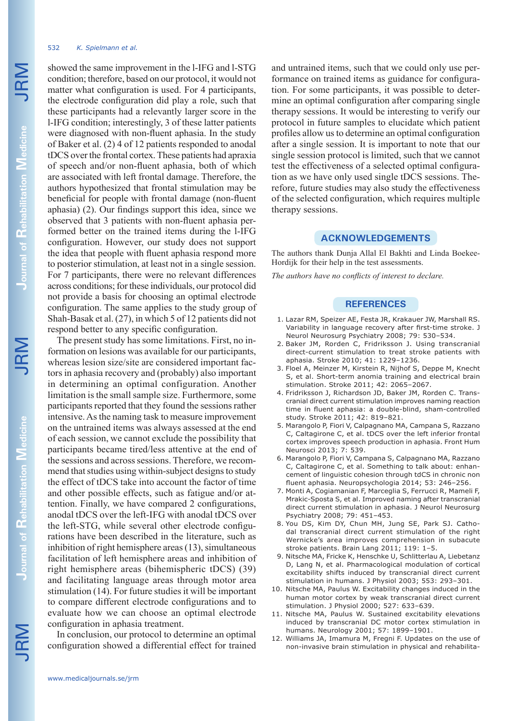#### 532 *K. Spielmann et al.*

showed the same improvement in the l-IFG and l-STG condition; therefore, based on our protocol, it would not matter what configuration is used. For 4 participants, the electrode configuration did play a role, such that these participants had a relevantly larger score in the l-IFG condition; interestingly, 3 of these latter patients were diagnosed with non-fluent aphasia. In the study of Baker et al. (2) 4 of 12 patients responded to anodal tDCS over the frontal cortex. These patients had apraxia of speech and/or non-fluent aphasia, both of which are associated with left frontal damage. Therefore, the authors hypothesized that frontal stimulation may be beneficial for people with frontal damage (non-fluent aphasia) (2). Our findings support this idea, since we observed that 3 patients with non-fluent aphasia performed better on the trained items during the l-IFG configuration. However, our study does not support the idea that people with fluent aphasia respond more to posterior stimulation, at least not in a single session. For 7 participants, there were no relevant differences across conditions; for these individuals, our protocol did not provide a basis for choosing an optimal electrode configuration. The same applies to the study group of Shah-Basak et al. (27), in which 5 of 12 patients did not respond better to any specific configuration.

The present study has some limitations. First, no information on lesions was available for our participants, whereas lesion size/site are considered important factors in aphasia recovery and (probably) also important in determining an optimal configuration. Another limitation is the small sample size. Furthermore, some participants reported that they found the sessions rather intensive. As the naming task to measure improvement on the untrained items was always assessed at the end of each session, we cannot exclude the possibility that participants became tired/less attentive at the end of the sessions and across sessions. Therefore, we recommend that studies using within-subject designs to study the effect of tDCS take into account the factor of time and other possible effects, such as fatigue and/or attention. Finally, we have compared 2 configurations, anodal tDCS over the left-IFG with anodal tDCS over the left-STG, while several other electrode configurations have been described in the literature, such as inhibition of right hemisphere areas (13), simultaneous facilitation of left hemisphere areas and inhibition of right hemisphere areas (bihemispheric tDCS) (39) and facilitating language areas through motor area stimulation (14). For future studies it will be important to compare different electrode configurations and to evaluate how we can choose an optimal electrode configuration in aphasia treatment.

In conclusion, our protocol to determine an optimal configuration showed a differential effect for trained and untrained items, such that we could only use performance on trained items as guidance for configuration. For some participants, it was possible to determine an optimal configuration after comparing single therapy sessions. It would be interesting to verify our protocol in future samples to elucidate which patient profiles allow us to determine an optimal configuration after a single session. It is important to note that our single session protocol is limited, such that we cannot test the effectiveness of a selected optimal configuration as we have only used single tDCS sessions. Therefore, future studies may also study the effectiveness of the selected configuration, which requires multiple therapy sessions.

## **ACKNOWLEDGEMENTS**

The authors thank Dunja Allal El Bakhti and Linda Boekee-Hordijk for their help in the test assessments.

*The authors have no conflicts of interest to declare.*

### **REFERENCES**

- 1. Lazar RM, Speizer AE, Festa JR, Krakauer JW, Marshall RS. Variability in language recovery after first-time stroke. J Neurol Neurosurg Psychiatry 2008; 79: 530–534.
- 2. Baker JM, Rorden C, Fridriksson J. Using transcranial direct-current stimulation to treat stroke patients with aphasia. Stroke 2010; 41: 1229–1236.
- 3. Floel A, Meinzer M, Kirstein R, Nijhof S, Deppe M, Knecht S, et al. Short-term anomia training and electrical brain stimulation. Stroke 2011; 42: 2065–2067.
- 4. Fridriksson J, Richardson JD, Baker JM, Rorden C. Transcranial direct current stimulation improves naming reaction time in fluent aphasia: a double-blind, sham-controlled study. Stroke 2011; 42: 819–821.
- 5. Marangolo P, Fiori V, Calpagnano MA, Campana S, Razzano C, Caltagirone C, et al. tDCS over the left inferior frontal cortex improves speech production in aphasia. Front Hum Neurosci 2013; 7: 539.
- 6. Marangolo P, Fiori V, Campana S, Calpagnano MA, Razzano C, Caltagirone C, et al. Something to talk about: enhancement of linguistic cohesion through tdCS in chronic non fluent aphasia. Neuropsychologia 2014; 53: 246–256.
- 7. Monti A, Cogiamanian F, Marceglia S, Ferrucci R, Mameli F, Mrakic-Sposta S, et al. Improved naming after transcranial direct current stimulation in aphasia. J Neurol Neurosurg Psychiatry 2008; 79: 451–453.
- 8. You DS, Kim DY, Chun MH, Jung SE, Park SJ. Cathodal transcranial direct current stimulation of the right Wernicke's area improves comprehension in subacute stroke patients. Brain Lang 2011; 119: 1–5.
- 9. Nitsche MA, Fricke K, Henschke U, Schlitterlau A, Liebetanz D, Lang N, et al. Pharmacological modulation of cortical excitability shifts induced by transcranial direct current stimulation in humans. J Physiol 2003; 553: 293–301.
- 10. Nitsche MA, Paulus W. Excitability changes induced in the human motor cortex by weak transcranial direct current stimulation. J Physiol 2000; 527: 633–639.
- 11. Nitsche MA, Paulus W. Sustained excitability elevations induced by transcranial DC motor cortex stimulation in humans. Neurology 2001; 57: 1899–1901.
- 12. Williams JA, Imamura M, Fregni F. Updates on the use of non-invasive brain stimulation in physical and rehabilita-

JRM